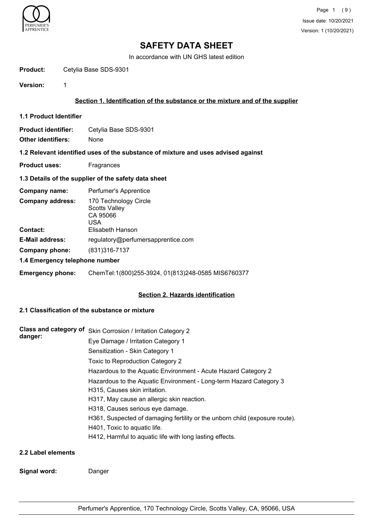

In accordance with UN GHS latest edition

Product: Cetylia Base SDS-9301

**Version:** 1

## **Section 1. Identification of the substance or the mixture and of the supplier**

**1.1 Product Identifier**

**Product identifier:** Cetylia Base SDS-9301 **Other identifiers:** None

## **1.2 Relevant identified uses of the substance of mixture and uses advised against**

**Product uses:** Fragrances

## **1.3 Details of the supplier of the safety data sheet**

| Company name:                  | Perfumer's Apprentice                                                   |
|--------------------------------|-------------------------------------------------------------------------|
| <b>Company address:</b>        | 170 Technology Circle<br><b>Scotts Valley</b><br>CA 95066<br><b>USA</b> |
| <b>Contact:</b>                | Elisabeth Hanson                                                        |
| <b>E-Mail address:</b>         | regulatory@perfumersapprentice.com                                      |
| Company phone:                 | (831) 316-7137                                                          |
| 1.4 Emergency telephone number |                                                                         |

**Emergency phone:** ChemTel:1(800)255-3924, 01(813)248-0585 MIS6760377

## **Section 2. Hazards identification**

## **2.1 Classification of the substance or mixture**

**Signal word:** Danger

| Class and category of<br>danger: | Skin Corrosion / Irritation Category 2                                                              |
|----------------------------------|-----------------------------------------------------------------------------------------------------|
|                                  | Eye Damage / Irritation Category 1                                                                  |
|                                  | Sensitization - Skin Category 1                                                                     |
|                                  | Toxic to Reproduction Category 2                                                                    |
|                                  | Hazardous to the Aquatic Environment - Acute Hazard Category 2                                      |
|                                  | Hazardous to the Aquatic Environment - Long-term Hazard Category 3<br>H315, Causes skin irritation. |
|                                  | H317, May cause an allergic skin reaction.                                                          |
|                                  | H318, Causes serious eye damage.                                                                    |
|                                  | H361, Suspected of damaging fertility or the unborn child (exposure route).                         |
|                                  | H401, Toxic to aquatic life.                                                                        |
|                                  | H412, Harmful to aquatic life with long lasting effects.                                            |
| 2.2 Label elements               |                                                                                                     |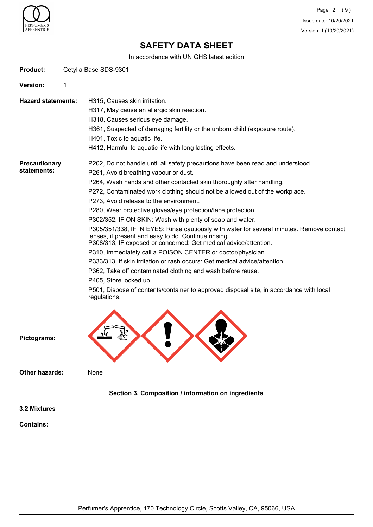

Page 2 (9) Issue date: 10/20/2021 Version: 1 (10/20/2021)

# **SAFETY DATA SHEET**

In accordance with UN GHS latest edition

| <b>Product:</b>                     |   | Cetylia Base SDS-9301                                                                                                                                                                                                                                                                                                                                                                                                                                                                                                                                                                                                                                                                                                                                                                                                                                                                                                                                                                                                              |
|-------------------------------------|---|------------------------------------------------------------------------------------------------------------------------------------------------------------------------------------------------------------------------------------------------------------------------------------------------------------------------------------------------------------------------------------------------------------------------------------------------------------------------------------------------------------------------------------------------------------------------------------------------------------------------------------------------------------------------------------------------------------------------------------------------------------------------------------------------------------------------------------------------------------------------------------------------------------------------------------------------------------------------------------------------------------------------------------|
| <b>Version:</b>                     | 1 |                                                                                                                                                                                                                                                                                                                                                                                                                                                                                                                                                                                                                                                                                                                                                                                                                                                                                                                                                                                                                                    |
| <b>Hazard statements:</b>           |   | H315, Causes skin irritation.<br>H317, May cause an allergic skin reaction.<br>H318, Causes serious eye damage.<br>H361, Suspected of damaging fertility or the unborn child (exposure route).<br>H401, Toxic to aquatic life.<br>H412, Harmful to aquatic life with long lasting effects.                                                                                                                                                                                                                                                                                                                                                                                                                                                                                                                                                                                                                                                                                                                                         |
| <b>Precautionary</b><br>statements: |   | P202, Do not handle until all safety precautions have been read and understood.<br>P261, Avoid breathing vapour or dust.<br>P264, Wash hands and other contacted skin thoroughly after handling.<br>P272, Contaminated work clothing should not be allowed out of the workplace.<br>P273, Avoid release to the environment.<br>P280, Wear protective gloves/eye protection/face protection.<br>P302/352, IF ON SKIN: Wash with plenty of soap and water.<br>P305/351/338, IF IN EYES: Rinse cautiously with water for several minutes. Remove contact<br>lenses, if present and easy to do. Continue rinsing.<br>P308/313, IF exposed or concerned: Get medical advice/attention.<br>P310, Immediately call a POISON CENTER or doctor/physician.<br>P333/313, If skin irritation or rash occurs: Get medical advice/attention.<br>P362, Take off contaminated clothing and wash before reuse.<br>P405, Store locked up.<br>P501, Dispose of contents/container to approved disposal site, in accordance with local<br>regulations. |
| Pictograms:                         |   |                                                                                                                                                                                                                                                                                                                                                                                                                                                                                                                                                                                                                                                                                                                                                                                                                                                                                                                                                                                                                                    |
| <b>Other hazards:</b>               |   | None                                                                                                                                                                                                                                                                                                                                                                                                                                                                                                                                                                                                                                                                                                                                                                                                                                                                                                                                                                                                                               |
|                                     |   | Section 3. Composition / information on ingredients                                                                                                                                                                                                                                                                                                                                                                                                                                                                                                                                                                                                                                                                                                                                                                                                                                                                                                                                                                                |
| 3.2 Mixtures                        |   |                                                                                                                                                                                                                                                                                                                                                                                                                                                                                                                                                                                                                                                                                                                                                                                                                                                                                                                                                                                                                                    |
| <b>Contains:</b>                    |   |                                                                                                                                                                                                                                                                                                                                                                                                                                                                                                                                                                                                                                                                                                                                                                                                                                                                                                                                                                                                                                    |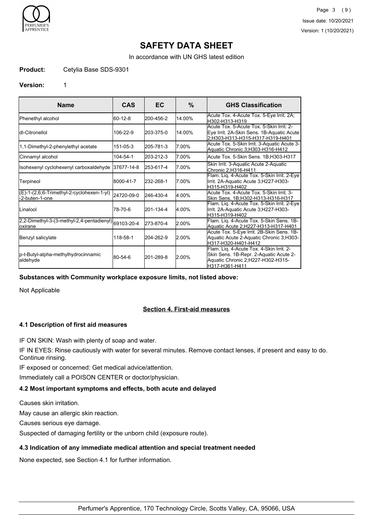

Page 3 (9) Issue date: 10/20/2021 Version: 1 (10/20/2021)

# **SAFETY DATA SHEET**

In accordance with UN GHS latest edition

#### **Product:** Cetylia Base SDS-9301

#### **Version:** 1

| <b>Name</b>                                                      | <b>CAS</b> | EC        | $\%$   | <b>GHS Classification</b>                                                                                                                  |
|------------------------------------------------------------------|------------|-----------|--------|--------------------------------------------------------------------------------------------------------------------------------------------|
| Phenethyl alcohol                                                | 160-12-8   | 200-456-2 | 14.00% | Acute Tox. 4-Acute Tox. 5-Eye Irrit. 2A;<br>H302-H313-H319                                                                                 |
| Idl-Citronellol                                                  | 106-22-9   | 203-375-0 | 14.00% | Acute Tox, 5-Acute Tox, 5-Skin Irrit, 2-<br>Eye Irrit. 2A-Skin Sens. 1B-Aquatic Acute<br>2:H303-H313-H315-H317-H319-H401                   |
| 1,1-Dimethyl-2-phenylethyl acetate                               | 151-05-3   | 205-781-3 | 7.00%  | Acute Tox. 5-Skin Irrit. 3-Aquatic Acute 3-<br>Aquatic Chronic 3, H303-H316-H412                                                           |
| Cinnamyl alcohol                                                 | 104-54-1   | 203-212-3 | 7.00%  | Acute Tox. 5-Skin Sens. 1B;H303-H317                                                                                                       |
| Isohexenyl cyclohexenyl carboxaldehyde                           | 37677-14-8 | 253-617-4 | 17.00% | Skin Irrit. 3-Aquatic Acute 2-Aquatic<br>Chronic 2:H316-H411                                                                               |
| Terpineol                                                        | 8000-41-7  | 232-268-1 | 7.00%  | Flam. Liq. 4-Acute Tox. 5-Skin Irrit. 2-Eye<br>Irrit. 2A-Aquatic Acute 3;H227-H303-<br>H315-H319-H402                                      |
| $(E)-1-(2,6,6-Trimethyl-2-cyclohexen-1-yl)$<br>-2-buten-1-one    | 24720-09-0 | 246-430-4 | 4.00%  | Acute Tox. 4-Acute Tox. 5-Skin Irrit. 3-<br>Skin Sens. 1B:H302-H313-H316-H317                                                              |
| <b>I</b> Linalool                                                | 78-70-6    | 201-134-4 | 4.00%  | Flam. Lig. 4-Acute Tox. 5-Skin Irrit. 2-Eye<br>Irrit. 2A-Aquatic Acute 3;H227-H303-<br>H315-H319-H402                                      |
| 2,2-Dimethyl-3-(3-methyl-2,4-pentadienyl) 69103-20-4<br>loxirane |            | 273-870-4 | 2.00%  | Flam. Liq. 4-Acute Tox. 5-Skin Sens. 1B-<br>Aquatic Acute 2;H227-H313-H317-H401                                                            |
| Benzyl salicylate                                                | 118-58-1   | 204-262-9 | 2.00%  | Acute Tox. 5-Eye Irrit. 2B-Skin Sens. 1B-<br>Aquatic Acute 2-Aquatic Chronic 3;H303-<br>H317-H320-H401-H412                                |
| p-t-Butyl-alpha-methylhydrocinnamic<br>aldehyde                  | 80-54-6    | 201-289-8 | 2.00%  | Flam. Liq. 4-Acute Tox. 4-Skin Irrit. 2-<br>Skin Sens. 1B-Repr. 2-Aquatic Acute 2-<br>Aquatic Chronic 2;H227-H302-H315-<br>lH317-H361-H411 |

#### **Substances with Community workplace exposure limits, not listed above:**

Not Applicable

## **Section 4. First-aid measures**

## **4.1 Description of first aid measures**

IF ON SKIN: Wash with plenty of soap and water.

IF IN EYES: Rinse cautiously with water for several minutes. Remove contact lenses, if present and easy to do. Continue rinsing.

IF exposed or concerned: Get medical advice/attention.

Immediately call a POISON CENTER or doctor/physician.

## **4.2 Most important symptoms and effects, both acute and delayed**

Causes skin irritation.

May cause an allergic skin reaction.

Causes serious eye damage.

Suspected of damaging fertility or the unborn child (exposure route).

#### **4.3 Indication of any immediate medical attention and special treatment needed**

None expected, see Section 4.1 for further information.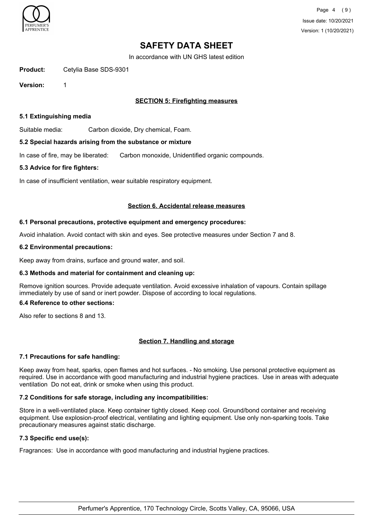

In accordance with UN GHS latest edition

**Product:** Cetylia Base SDS-9301

**Version:** 1

## **SECTION 5: Firefighting measures**

### **5.1 Extinguishing media**

Suitable media: Carbon dioxide, Dry chemical, Foam.

#### **5.2 Special hazards arising from the substance or mixture**

In case of fire, may be liberated: Carbon monoxide, Unidentified organic compounds.

#### **5.3 Advice for fire fighters:**

In case of insufficient ventilation, wear suitable respiratory equipment.

#### **Section 6. Accidental release measures**

#### **6.1 Personal precautions, protective equipment and emergency procedures:**

Avoid inhalation. Avoid contact with skin and eyes. See protective measures under Section 7 and 8.

#### **6.2 Environmental precautions:**

Keep away from drains, surface and ground water, and soil.

## **6.3 Methods and material for containment and cleaning up:**

Remove ignition sources. Provide adequate ventilation. Avoid excessive inhalation of vapours. Contain spillage immediately by use of sand or inert powder. Dispose of according to local regulations.

## **6.4 Reference to other sections:**

Also refer to sections 8 and 13.

## **Section 7. Handling and storage**

## **7.1 Precautions for safe handling:**

Keep away from heat, sparks, open flames and hot surfaces. - No smoking. Use personal protective equipment as required. Use in accordance with good manufacturing and industrial hygiene practices. Use in areas with adequate ventilation Do not eat, drink or smoke when using this product.

## **7.2 Conditions for safe storage, including any incompatibilities:**

Store in a well-ventilated place. Keep container tightly closed. Keep cool. Ground/bond container and receiving equipment. Use explosion-proof electrical, ventilating and lighting equipment. Use only non-sparking tools. Take precautionary measures against static discharge.

## **7.3 Specific end use(s):**

Fragrances: Use in accordance with good manufacturing and industrial hygiene practices.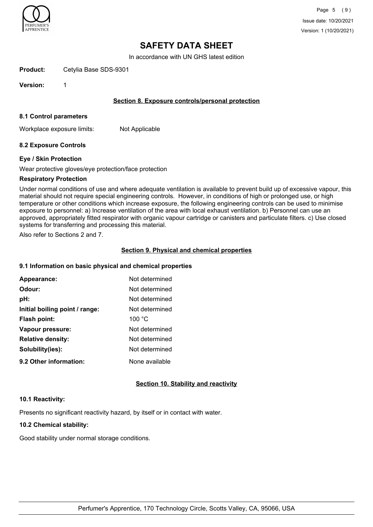

In accordance with UN GHS latest edition

**Product:** Cetylia Base SDS-9301

**Version:** 1

## **Section 8. Exposure controls/personal protection**

#### **8.1 Control parameters**

Workplace exposure limits: Not Applicable

## **8.2 Exposure Controls**

#### **Eye / Skin Protection**

Wear protective gloves/eye protection/face protection

#### **Respiratory Protection**

Under normal conditions of use and where adequate ventilation is available to prevent build up of excessive vapour, this material should not require special engineering controls. However, in conditions of high or prolonged use, or high temperature or other conditions which increase exposure, the following engineering controls can be used to minimise exposure to personnel: a) Increase ventilation of the area with local exhaust ventilation. b) Personnel can use an approved, appropriately fitted respirator with organic vapour cartridge or canisters and particulate filters. c) Use closed systems for transferring and processing this material.

Also refer to Sections 2 and 7.

#### **Section 9. Physical and chemical properties**

### **9.1 Information on basic physical and chemical properties**

| Appearance:                    | Not determined |
|--------------------------------|----------------|
| Odour:                         | Not determined |
| pH:                            | Not determined |
| Initial boiling point / range: | Not determined |
| Flash point:                   | 100 °C         |
| Vapour pressure:               | Not determined |
| <b>Relative density:</b>       | Not determined |
| Solubility(ies):               | Not determined |
| 9.2 Other information:         | None available |

## **Section 10. Stability and reactivity**

#### **10.1 Reactivity:**

Presents no significant reactivity hazard, by itself or in contact with water.

## **10.2 Chemical stability:**

Good stability under normal storage conditions.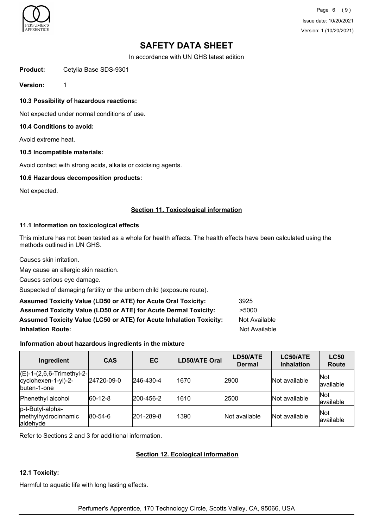

Page 6 (9) Issue date: 10/20/2021 Version: 1 (10/20/2021)

## **SAFETY DATA SHEET**

In accordance with UN GHS latest edition

Product: Cetylia Base SDS-9301

**Version:** 1

**10.3 Possibility of hazardous reactions:**

Not expected under normal conditions of use.

### **10.4 Conditions to avoid:**

Avoid extreme heat.

#### **10.5 Incompatible materials:**

Avoid contact with strong acids, alkalis or oxidising agents.

### **10.6 Hazardous decomposition products:**

Not expected.

#### **Section 11. Toxicological information**

## **11.1 Information on toxicological effects**

This mixture has not been tested as a whole for health effects. The health effects have been calculated using the methods outlined in UN GHS.

Causes skin irritation.

May cause an allergic skin reaction.

Causes serious eye damage.

Suspected of damaging fertility or the unborn child (exposure route).

| <b>Assumed Toxicity Value (LD50 or ATE) for Acute Oral Toxicity:</b>       | 3925                 |
|----------------------------------------------------------------------------|----------------------|
| <b>Assumed Toxicity Value (LD50 or ATE) for Acute Dermal Toxicity:</b>     | >5000                |
| <b>Assumed Toxicity Value (LC50 or ATE) for Acute Inhalation Toxicity:</b> | Not Available        |
| <b>Inhalation Route:</b>                                                   | <b>Not Available</b> |

## **Information about hazardous ingredients in the mixture**

| Ingredient                                                                | <b>CAS</b>  | <b>EC</b> | LD50/ATE Oral | LD50/ATE<br><b>Dermal</b> | <b>LC50/ATE</b><br><b>Inhalation</b> | <b>LC50</b><br><b>Route</b> |
|---------------------------------------------------------------------------|-------------|-----------|---------------|---------------------------|--------------------------------------|-----------------------------|
| $E$ -1- $(2, 6, 6$ -Trimethyl-2-<br>cyclohexen-1-yl)-2-<br>buten-1-one    | 24720-09-0  | 246-430-4 | 1670          | 2900                      | Not available                        | Not<br>available            |
| Phenethyl alcohol                                                         | $ 60-12-8 $ | 200-456-2 | 1610          | 2500                      | Not available                        | Not<br>lavailable           |
| p-t-Butyl-alpha-<br><i><u><b>Imethylhydrocinnamic</b></u></i><br>aldehyde | $ 80-54-6 $ | 201-289-8 | 1390          | Not available             | <b>Not available</b>                 | Not<br>available            |

Refer to Sections 2 and 3 for additional information.

## **Section 12. Ecological information**

#### **12.1 Toxicity:**

Harmful to aquatic life with long lasting effects.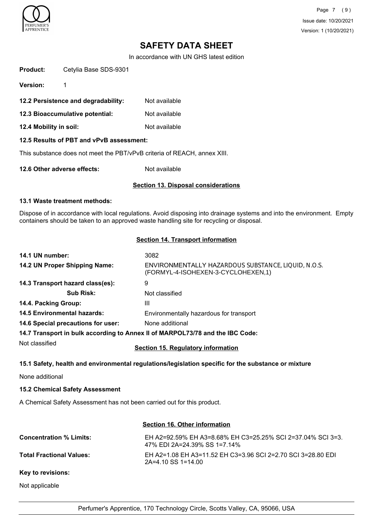

Page 7 (9) Issue date: 10/20/2021 Version: 1 (10/20/2021)

## **SAFETY DATA SHEET**

In accordance with UN GHS latest edition

| <b>Product:</b> | Cetylia Base SDS-9301 |
|-----------------|-----------------------|
|                 |                       |

**Version:** 1

- **12.2 Persistence and degradability:** Not available
- **12.3 Bioaccumulative potential:** Not available
- **12.4 Mobility in soil:** Not available

## **12.5 Results of PBT and vPvB assessment:**

This substance does not meet the PBT/vPvB criteria of REACH, annex XIII.

**12.6 Other adverse effects:** Not available

#### **Section 13. Disposal considerations**

### **13.1 Waste treatment methods:**

Dispose of in accordance with local regulations. Avoid disposing into drainage systems and into the environment. Empty containers should be taken to an approved waste handling site for recycling or disposal.

## **Section 14. Transport information**

| 14.1 UN number:                    | 3082                                                                                      |
|------------------------------------|-------------------------------------------------------------------------------------------|
| 14.2 UN Proper Shipping Name:      | ENVIRONMENTALLY HAZARDOUS SUBSTANCE, LIQUID, N.O.S.<br>(FORMYL-4-ISOHEXEN-3-CYCLOHEXEN,1) |
| 14.3 Transport hazard class(es):   | 9                                                                                         |
| <b>Sub Risk:</b>                   | Not classified                                                                            |
| 14.4. Packing Group:               | Ш                                                                                         |
| <b>14.5 Environmental hazards:</b> | Environmentally hazardous for transport                                                   |
| 14.6 Special precautions for user: | None additional                                                                           |
|                                    | 14.7 Transport in bulk according to Annex II of MARPOL73/78 and the IBC Code:             |
| Not classified                     |                                                                                           |

**Section 15. Regulatory information**

## **15.1 Safety, health and environmental regulations/legislation specific for the substance or mixture**

None additional

## **15.2 Chemical Safety Assessment**

A Chemical Safety Assessment has not been carried out for this product.

## **Section 16. Other information**

| <b>Concentration % Limits:</b>  | EH A2=92.59% EH A3=8.68% EH C3=25.25% SCI 2=37.04% SCI 3=3.<br>47% EDI 2A=24.39% SS 1=7.14% |
|---------------------------------|---------------------------------------------------------------------------------------------|
| <b>Total Fractional Values:</b> | EH A2=1.08 EH A3=11.52 EH C3=3.96 SCI 2=2.70 SCI 3=28.80 EDI<br>$2A=4.10$ SS 1=14.00        |
| Key to revisions:               |                                                                                             |

Not applicable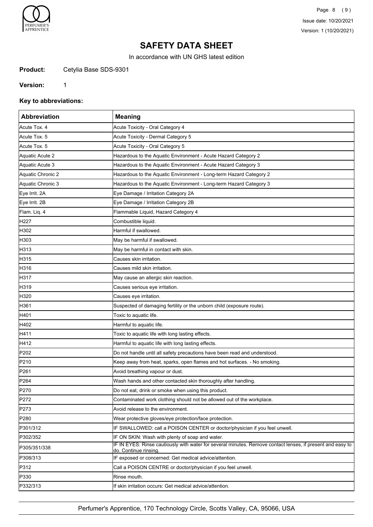

Page 8 (9) Issue date: 10/20/2021 Version: 1 (10/20/2021)

# **SAFETY DATA SHEET**

In accordance with UN GHS latest edition

Product: Cetylia Base SDS-9301

### **Version:** 1

**Key to abbreviations:**

| Abbreviation      | <b>Meaning</b>                                                                                                                      |
|-------------------|-------------------------------------------------------------------------------------------------------------------------------------|
| Acute Tox. 4      | Acute Toxicity - Oral Category 4                                                                                                    |
| Acute Tox. 5      | Acute Toxicity - Dermal Category 5                                                                                                  |
| Acute Tox. 5      | Acute Toxicity - Oral Category 5                                                                                                    |
| Aquatic Acute 2   | Hazardous to the Aquatic Environment - Acute Hazard Category 2                                                                      |
| Aquatic Acute 3   | Hazardous to the Aquatic Environment - Acute Hazard Category 3                                                                      |
| Aquatic Chronic 2 | Hazardous to the Aquatic Environment - Long-term Hazard Category 2                                                                  |
| Aquatic Chronic 3 | Hazardous to the Aquatic Environment - Long-term Hazard Category 3                                                                  |
| Eye Irrit. 2A     | Eye Damage / Irritation Category 2A                                                                                                 |
| Eye Irrit. 2B     | Eye Damage / Irritation Category 2B                                                                                                 |
| Flam. Liq. 4      | Flammable Liquid, Hazard Category 4                                                                                                 |
| H <sub>227</sub>  | Combustible liquid.                                                                                                                 |
| H302              | Harmful if swallowed.                                                                                                               |
| H303              | May be harmful if swallowed.                                                                                                        |
| H313              | May be harmful in contact with skin.                                                                                                |
| H315              | Causes skin irritation.                                                                                                             |
| H316              | Causes mild skin irritation.                                                                                                        |
| H317              | May cause an allergic skin reaction.                                                                                                |
| H319              | Causes serious eye irritation.                                                                                                      |
| H320              | Causes eye irritation.                                                                                                              |
| H361              | Suspected of damaging fertility or the unborn child (exposure route).                                                               |
| H401              | Toxic to aquatic life.                                                                                                              |
| H402              | Harmful to aquatic life.                                                                                                            |
| H411              | Toxic to aquatic life with long lasting effects.                                                                                    |
| H412              | Harmful to aquatic life with long lasting effects.                                                                                  |
| P <sub>202</sub>  | Do not handle until all safety precautions have been read and understood.                                                           |
| P210              | Keep away from heat, sparks, open flames and hot surfaces. - No smoking.                                                            |
| P261              | Avoid breathing vapour or dust.                                                                                                     |
| P <sub>264</sub>  | Wash hands and other contacted skin thoroughly after handling.                                                                      |
| P270              | Do not eat, drink or smoke when using this product.                                                                                 |
| P272              | Contaminated work clothing should not be allowed out of the workplace.                                                              |
| P273              | Avoid release to the environment.                                                                                                   |
| P280              | Wear protective gloves/eye protection/face protection.                                                                              |
| P301/312          | IF SWALLOWED: call a POISON CENTER or doctor/physician if you feel unwell.                                                          |
| P302/352          | IF ON SKIN: Wash with plenty of soap and water.                                                                                     |
| P305/351/338      | IF IN EYES: Rinse cautiously with water for several minutes. Remove contact lenses, if present and easy to<br>do. Continue rinsing. |
| P308/313          | IF exposed or concerned: Get medical advice/attention.                                                                              |
| P312              | Call a POISON CENTRE or doctor/physician if you feel unwell.                                                                        |
| P330              | Rinse mouth.                                                                                                                        |
| P332/313          | If skin irritation occurs: Get medical advice/attention.                                                                            |